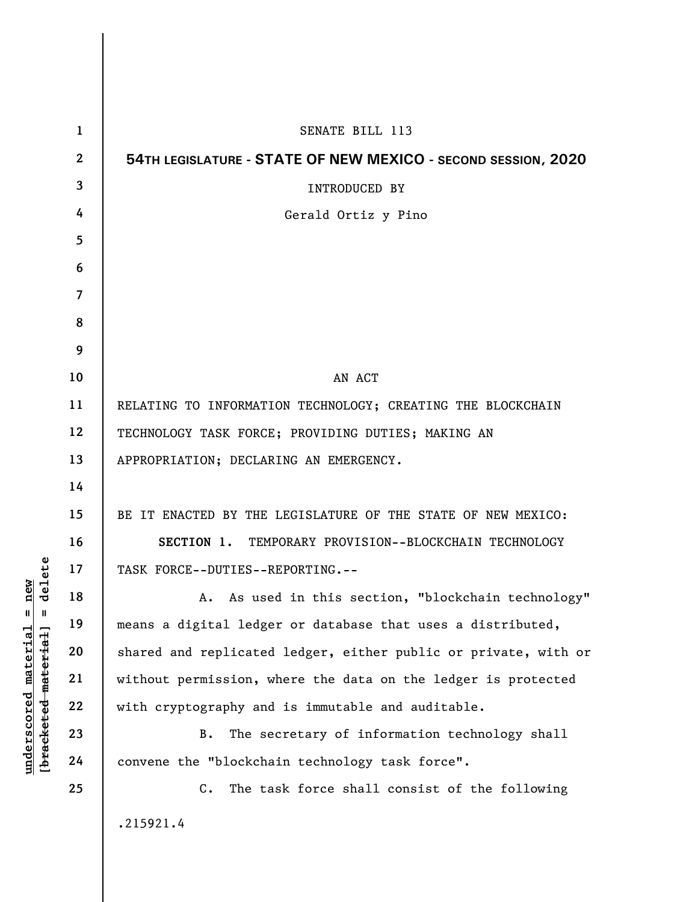| 1            | SENATE BILL 113                                                 |
|--------------|-----------------------------------------------------------------|
| $\mathbf{2}$ | 54TH LEGISLATURE - STATE OF NEW MEXICO - SECOND SESSION, 2020   |
| 3            | <b>INTRODUCED BY</b>                                            |
| 4            | Gerald Ortiz y Pino                                             |
| 5            |                                                                 |
| 6            |                                                                 |
| 7            |                                                                 |
| 8            |                                                                 |
| 9            |                                                                 |
| 10           | AN ACT                                                          |
| 11           | RELATING TO INFORMATION TECHNOLOGY; CREATING THE BLOCKCHAIN     |
| 12           | TECHNOLOGY TASK FORCE; PROVIDING DUTIES; MAKING AN              |
| 13           | APPROPRIATION; DECLARING AN EMERGENCY.                          |
| 14           |                                                                 |
| 15           | BE IT ENACTED BY THE LEGISLATURE OF THE STATE OF NEW MEXICO:    |
| 16           | SECTION 1. TEMPORARY PROVISION--BLOCKCHAIN TECHNOLOGY           |
| 17           | TASK FORCE--DUTIES--REPORTING.--                                |
| 18           | A. As used in this section, "blockchain technology"             |
| 19           | means a digital ledger or database that uses a distributed,     |
| 20           | shared and replicated ledger, either public or private, with or |
| 21           | without permission, where the data on the ledger is protected   |
| 22           | with cryptography and is immutable and auditable.               |
| 23           | The secretary of information technology shall<br>B.             |
| 24           | convene the "blockchain technology task force".                 |
| 25           | The task force shall consist of the following<br>$C_{\bullet}$  |
|              | .215921.4                                                       |
|              |                                                                 |

**underscored material = new [bracketed material] = delete**

 $[**bracket eted metert et**] = **del et e**$  $underscored material = new$ 

 $\overline{\phantom{a}}$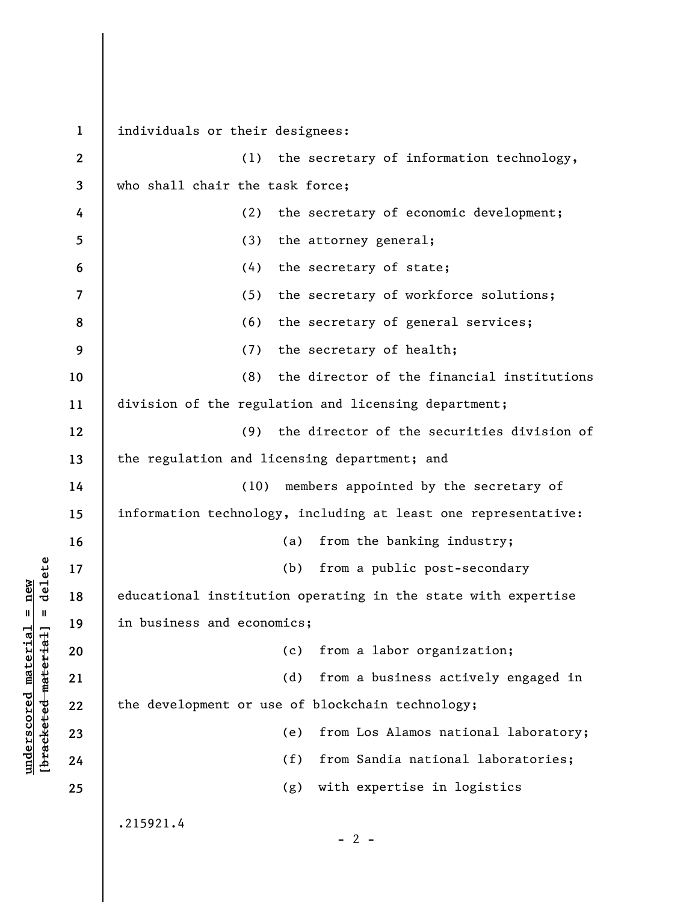**1 2 3 4 5 6 7 8 9 10 11 12 13 14 15 16 17 18 19 20 21 22 23 24 25**  individuals or their designees: (1) the secretary of information technology, who shall chair the task force; (2) the secretary of economic development; (3) the attorney general; (4) the secretary of state; (5) the secretary of workforce solutions; (6) the secretary of general services; (7) the secretary of health; (8) the director of the financial institutions division of the regulation and licensing department; (9) the director of the securities division of the regulation and licensing department; and (10) members appointed by the secretary of information technology, including at least one representative: (a) from the banking industry; (b) from a public post-secondary educational institution operating in the state with expertise in business and economics; (c) from a labor organization; (d) from a business actively engaged in the development or use of blockchain technology; (e) from Los Alamos national laboratory; (f) from Sandia national laboratories; (g) with expertise in logistics .215921.4  $- 2 -$ 

**underscored material = new [bracketed material] = delete**

 $\frac{1}{2}$  intereted material = delete  $underscored material = new$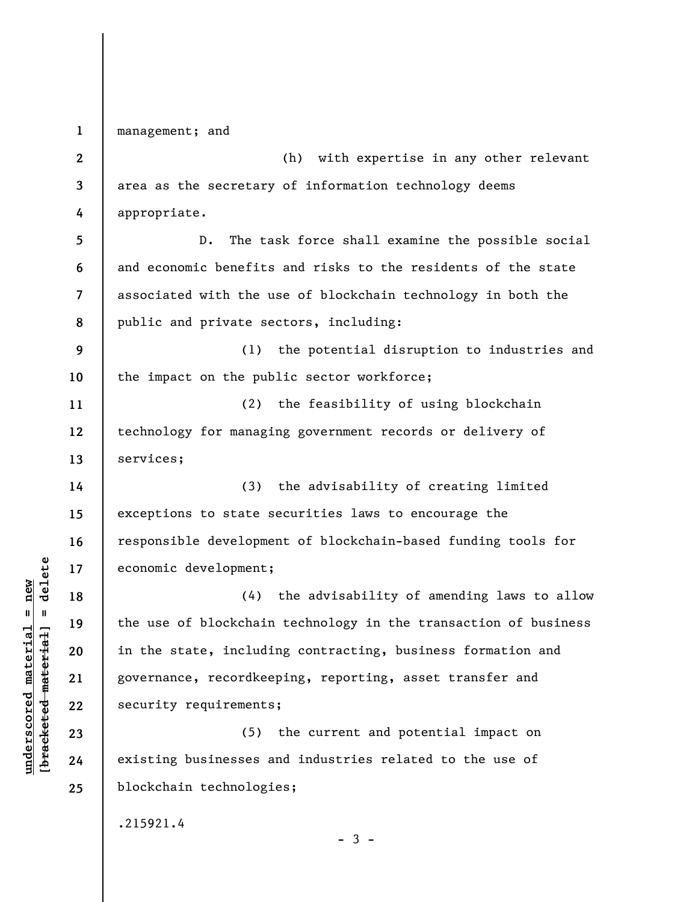**1 2 3 4 5 6 7 8 9 10 11 12 13 14 15 16 17 18 19 20 21 22 23 24 25**  management; and (h) with expertise in any other relevant area as the secretary of information technology deems appropriate. D. The task force shall examine the possible social and economic benefits and risks to the residents of the state associated with the use of blockchain technology in both the public and private sectors, including: (1) the potential disruption to industries and the impact on the public sector workforce; (2) the feasibility of using blockchain technology for managing government records or delivery of services; (3) the advisability of creating limited exceptions to state securities laws to encourage the responsible development of blockchain-based funding tools for economic development; (4) the advisability of amending laws to allow the use of blockchain technology in the transaction of business in the state, including contracting, business formation and governance, recordkeeping, reporting, asset transfer and security requirements; (5) the current and potential impact on existing businesses and industries related to the use of blockchain technologies; .215921.4

**underscored material = new [bracketed material] = delete**

 $\frac{1}{2}$  intereted material = delete  $underscored material = new$ 

 $-3 -$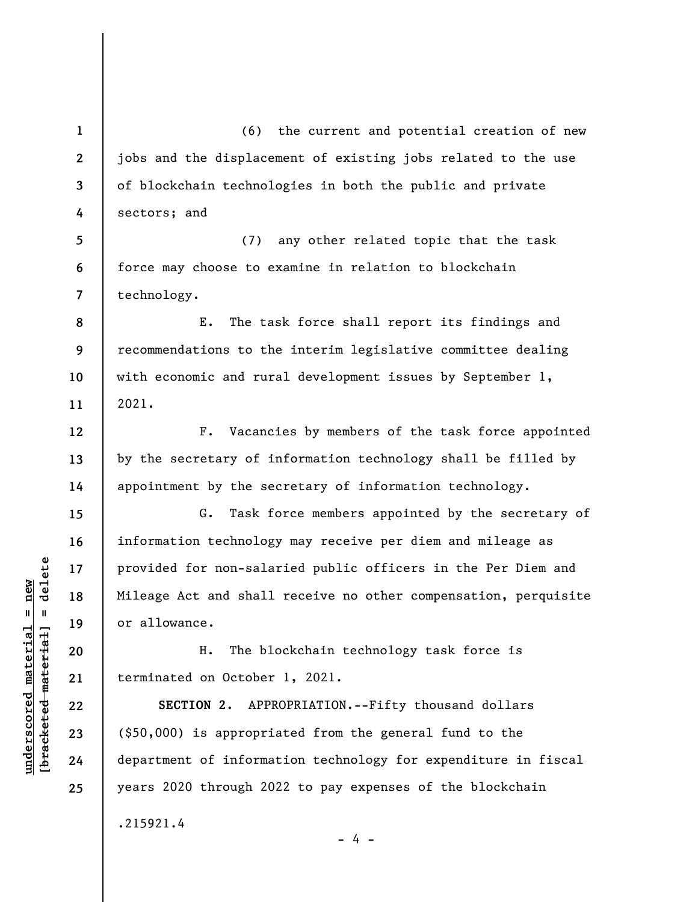(6) the current and potential creation of new jobs and the displacement of existing jobs related to the use of blockchain technologies in both the public and private sectors; and

**5 6 7**  (7) any other related topic that the task force may choose to examine in relation to blockchain technology.

**8 9 10 11**  E. The task force shall report its findings and recommendations to the interim legislative committee dealing with economic and rural development issues by September 1, 2021.

F. Vacancies by members of the task force appointed by the secretary of information technology shall be filled by appointment by the secretary of information technology.

G. Task force members appointed by the secretary of information technology may receive per diem and mileage as provided for non-salaried public officers in the Per Diem and Mileage Act and shall receive no other compensation, perquisite or allowance.

H. The blockchain technology task force is terminated on October 1, 2021.

**SECTION 2.** APPROPRIATION.--Fifty thousand dollars (\$50,000) is appropriated from the general fund to the department of information technology for expenditure in fiscal years 2020 through 2022 to pay expenses of the blockchain .215921.4

- 4 -

 $b$ racketed material] = delete **[bracketed material] = delete**  $underscored material = new$ **underscored material = new**

**1** 

**2** 

**3** 

**4** 

**12** 

**13** 

**14** 

**15** 

**16** 

**17** 

**18** 

**19** 

**20** 

**21** 

**22** 

**23** 

**24** 

**25**